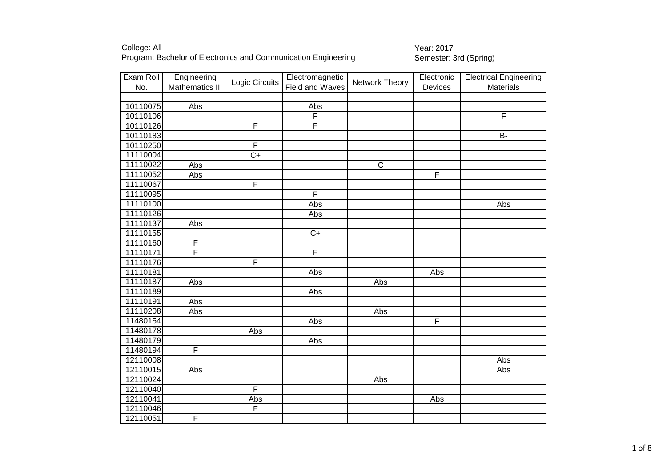| Exam Roll | Engineering      | Electromagnetic<br>Logic Circuits<br>Network Theory<br>Field and Waves |                         |                | Electronic | <b>Electrical Engineering</b> |
|-----------|------------------|------------------------------------------------------------------------|-------------------------|----------------|------------|-------------------------------|
| No.       | Mathematics III  |                                                                        | Devices                 | Materials      |            |                               |
|           |                  |                                                                        |                         |                |            |                               |
| 10110075  | $\overline{Abs}$ |                                                                        | Abs                     |                |            |                               |
| 10110106  |                  |                                                                        | $\overline{F}$          |                |            | F                             |
| 10110126  |                  | F                                                                      | $\overline{F}$          |                |            |                               |
| 10110183  |                  |                                                                        |                         |                |            | <b>B-</b>                     |
| 10110250  |                  | $\overline{F}$                                                         |                         |                |            |                               |
| 11110004  |                  | $\overline{C+}$                                                        |                         |                |            |                               |
| 11110022  | Abs              |                                                                        |                         | $\overline{C}$ |            |                               |
| 11110052  | Abs              |                                                                        |                         |                | F          |                               |
| 11110067  |                  | $\overline{\mathsf{F}}$                                                |                         |                |            |                               |
| 11110095  |                  |                                                                        | $\overline{\mathsf{F}}$ |                |            |                               |
| 11110100  |                  |                                                                        | Abs                     |                |            | Abs                           |
| 11110126  |                  |                                                                        | Abs                     |                |            |                               |
| 11110137  | Abs              |                                                                        |                         |                |            |                               |
| 11110155  |                  |                                                                        | $\overline{C+}$         |                |            |                               |
| 11110160  | F                |                                                                        |                         |                |            |                               |
| 11110171  | F                |                                                                        | $\overline{F}$          |                |            |                               |
| 11110176  |                  | F                                                                      |                         |                |            |                               |
| 11110181  |                  |                                                                        | Abs                     |                | Abs        |                               |
| 11110187  | Abs              |                                                                        |                         | Abs            |            |                               |
| 11110189  |                  |                                                                        | Abs                     |                |            |                               |
| 11110191  | Abs              |                                                                        |                         |                |            |                               |
| 11110208  | Abs              |                                                                        |                         | Abs            |            |                               |
| 11480154  |                  |                                                                        | Abs                     |                | F          |                               |
| 11480178  |                  | Abs                                                                    |                         |                |            |                               |
| 11480179  |                  |                                                                        | Abs                     |                |            |                               |
| 11480194  | F                |                                                                        |                         |                |            |                               |
| 12110008  |                  |                                                                        |                         |                |            | Abs                           |
| 12110015  | Abs              |                                                                        |                         |                |            | Abs                           |
| 12110024  |                  |                                                                        |                         | Abs            |            |                               |
| 12110040  |                  | F                                                                      |                         |                |            |                               |
| 12110041  |                  | Abs                                                                    |                         |                | Abs        |                               |
| 12110046  |                  | $\overline{F}$                                                         |                         |                |            |                               |
| 12110051  | F                |                                                                        |                         |                |            |                               |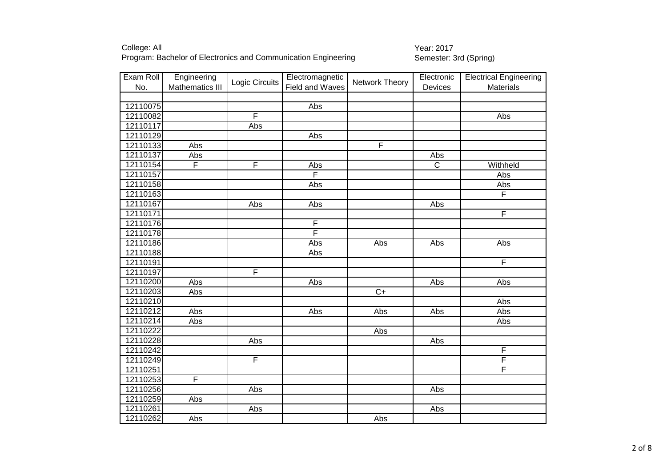| Exam Roll | Engineering             | Logic Circuits          | Electromagnetic | Network Theory | Electronic     | <b>Electrical Engineering</b> |
|-----------|-------------------------|-------------------------|-----------------|----------------|----------------|-------------------------------|
| No.       | Mathematics III         |                         | Field and Waves |                | Devices        | Materials                     |
|           |                         |                         |                 |                |                |                               |
| 12110075  |                         |                         | Abs             |                |                |                               |
| 12110082  |                         | F                       |                 |                |                | Abs                           |
| 12110117  |                         | Abs                     |                 |                |                |                               |
| 12110129  |                         |                         | Abs             |                |                |                               |
| 12110133  | Abs                     |                         |                 | $\overline{F}$ |                |                               |
| 12110137  | Abs                     |                         |                 |                | Abs            |                               |
| 12110154  | $\overline{\mathsf{F}}$ | $\overline{\mathsf{F}}$ | Abs             |                | $\overline{C}$ | Withheld                      |
| 12110157  |                         |                         | F               |                |                | Abs                           |
| 12110158  |                         |                         | Abs             |                |                | Abs                           |
| 12110163  |                         |                         |                 |                |                | F                             |
| 12110167  |                         | Abs                     | Abs             |                | Abs            |                               |
| 12110171  |                         |                         |                 |                |                | F                             |
| 12110176  |                         |                         | F               |                |                |                               |
| 12110178  |                         |                         | F               |                |                |                               |
| 12110186  |                         |                         | Abs             | Abs            | Abs            | Abs                           |
| 12110188  |                         |                         | Abs             |                |                |                               |
| 12110191  |                         |                         |                 |                |                | $\overline{\mathsf{F}}$       |
| 12110197  |                         | F                       |                 |                |                |                               |
| 12110200  | <b>Abs</b>              |                         | Abs             |                | Abs            | Abs                           |
| 12110203  | Abs                     |                         |                 | $C+$           |                |                               |
| 12110210  |                         |                         |                 |                |                | Abs                           |
| 12110212  | Abs                     |                         | Abs             | Abs            | Abs            | Abs                           |
| 12110214  | <b>Abs</b>              |                         |                 |                |                | Abs                           |
| 12110222  |                         |                         |                 | Abs            |                |                               |
| 12110228  |                         | Abs                     |                 |                | Abs            |                               |
| 12110242  |                         |                         |                 |                |                | F                             |
| 12110249  |                         | $\overline{F}$          |                 |                |                | F                             |
| 12110251  |                         |                         |                 |                |                | F                             |
| 12110253  | F                       |                         |                 |                |                |                               |
| 12110256  |                         | Abs                     |                 |                | Abs            |                               |
| 12110259  | Abs                     |                         |                 |                |                |                               |
| 12110261  |                         | Abs                     |                 |                | Abs            |                               |
| 12110262  | Abs                     |                         |                 | Abs            |                |                               |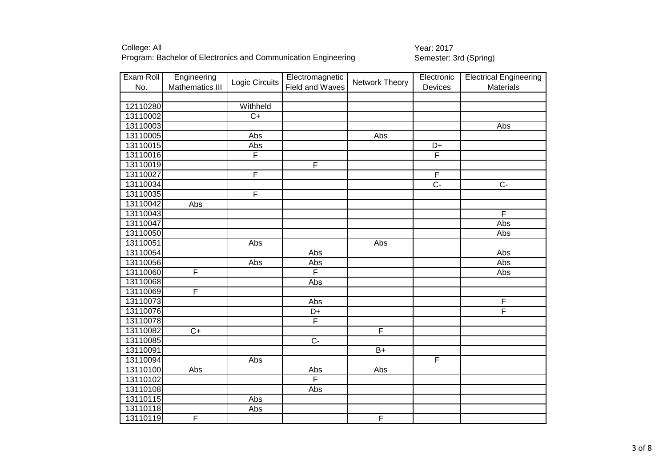| Exam Roll | Engineering     |                 | Electromagnetic         |                         | Electronic     | <b>Electrical Engineering</b> |
|-----------|-----------------|-----------------|-------------------------|-------------------------|----------------|-------------------------------|
| No.       | Mathematics III | Logic Circuits  | Field and Waves         | Network Theory          | Devices        | Materials                     |
|           |                 |                 |                         |                         |                |                               |
| 12110280  |                 | Withheld        |                         |                         |                |                               |
| 13110002  |                 | $\overline{C+}$ |                         |                         |                |                               |
| 13110003  |                 |                 |                         |                         |                | Abs                           |
| 13110005  |                 | Abs             |                         | Abs                     |                |                               |
| 13110015  |                 | Abs             |                         |                         | D+             |                               |
| 13110016  |                 | $\overline{F}$  |                         |                         | F              |                               |
| 13110019  |                 |                 | F                       |                         |                |                               |
| 13110027  |                 | $\overline{F}$  |                         |                         | $\overline{F}$ |                               |
| 13110034  |                 |                 |                         |                         | $\overline{C}$ | $C -$                         |
| 13110035  |                 | F               |                         |                         |                |                               |
| 13110042  | Abs             |                 |                         |                         |                |                               |
| 13110043  |                 |                 |                         |                         |                | $\overline{\mathsf{F}}$       |
| 13110047  |                 |                 |                         |                         |                | Abs                           |
| 13110050  |                 |                 |                         |                         |                | Abs                           |
| 13110051  |                 | Abs             |                         | Abs                     |                |                               |
| 13110054  |                 |                 | Abs                     |                         |                | Abs                           |
| 13110056  |                 | Abs             | Abs                     |                         |                | Abs                           |
| 13110060  | F               |                 | $\overline{F}$          |                         |                | Abs                           |
| 13110068  |                 |                 | Abs                     |                         |                |                               |
| 13110069  | F               |                 |                         |                         |                |                               |
| 13110073  |                 |                 | Abs                     |                         |                | $\overline{F}$                |
| 13110076  |                 |                 | D+                      |                         |                | F                             |
| 13110078  |                 |                 | $\overline{\mathsf{F}}$ |                         |                |                               |
| 13110082  | $\overline{C+}$ |                 |                         | $\overline{\mathsf{F}}$ |                |                               |
| 13110085  |                 |                 | $\overline{C}$          |                         |                |                               |
| 13110091  |                 |                 |                         | $B+$                    |                |                               |
| 13110094  |                 | Abs             |                         |                         | F              |                               |
| 13110100  | Abs             |                 | Abs                     | Abs                     |                |                               |
| 13110102  |                 |                 | F                       |                         |                |                               |
| 13110108  |                 |                 | Abs                     |                         |                |                               |
| 13110115  |                 | Abs             |                         |                         |                |                               |
| 13110118  |                 | Abs             |                         |                         |                |                               |
| 13110119  | F               |                 |                         | $\overline{F}$          |                |                               |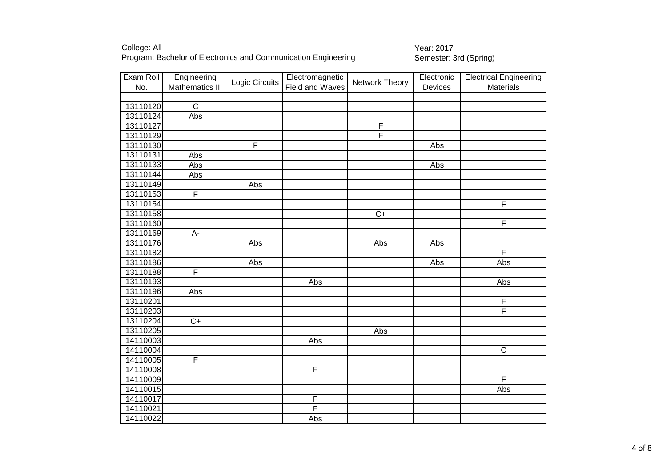| Exam Roll | Engineering             |                         | Electromagnetic |                | Electronic | <b>Electrical Engineering</b> |
|-----------|-------------------------|-------------------------|-----------------|----------------|------------|-------------------------------|
| No.       | Mathematics III         | Logic Circuits          | Field and Waves | Network Theory | Devices    | Materials                     |
|           |                         |                         |                 |                |            |                               |
| 13110120  | $\overline{C}$          |                         |                 |                |            |                               |
| 13110124  | Abs                     |                         |                 |                |            |                               |
| 13110127  |                         |                         |                 | $\mathsf F$    |            |                               |
| 13110129  |                         |                         |                 | F              |            |                               |
| 13110130  |                         | $\overline{\mathsf{F}}$ |                 |                | Abs        |                               |
| 13110131  | Abs                     |                         |                 |                |            |                               |
| 13110133  | Abs                     |                         |                 |                | Abs        |                               |
| 13110144  | Abs                     |                         |                 |                |            |                               |
| 13110149  |                         | Abs                     |                 |                |            |                               |
| 13110153  | $\overline{\mathsf{F}}$ |                         |                 |                |            |                               |
| 13110154  |                         |                         |                 |                |            | F                             |
| 13110158  |                         |                         |                 | $C+$           |            |                               |
| 13110160  |                         |                         |                 |                |            | $\overline{F}$                |
| 13110169  | A-                      |                         |                 |                |            |                               |
| 13110176  |                         | Abs                     |                 | Abs            | Abs        |                               |
| 13110182  |                         |                         |                 |                |            | F                             |
| 13110186  |                         | Abs                     |                 |                | Abs        | Abs                           |
| 13110188  | F                       |                         |                 |                |            |                               |
| 13110193  |                         |                         | Abs             |                |            | Abs                           |
| 13110196  | Abs                     |                         |                 |                |            |                               |
| 13110201  |                         |                         |                 |                |            | $\overline{F}$                |
| 13110203  |                         |                         |                 |                |            | F                             |
| 13110204  | $\overline{C+}$         |                         |                 |                |            |                               |
| 13110205  |                         |                         |                 | Abs            |            |                               |
| 14110003  |                         |                         | Abs             |                |            |                               |
| 14110004  |                         |                         |                 |                |            | $\mathsf C$                   |
| 14110005  | $\overline{F}$          |                         |                 |                |            |                               |
| 14110008  |                         |                         | F               |                |            |                               |
| 14110009  |                         |                         |                 |                |            | F                             |
| 14110015  |                         |                         |                 |                |            | Abs                           |
| 14110017  |                         |                         | $\overline{F}$  |                |            |                               |
| 14110021  |                         |                         | F               |                |            |                               |
| 14110022  |                         |                         | Abs             |                |            |                               |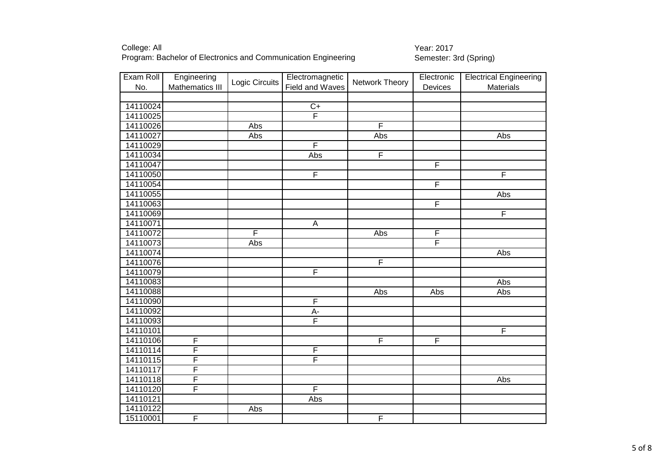| Exam Roll | Engineering     |                         | Electromagnetic         |                         | Electronic              | <b>Electrical Engineering</b> |
|-----------|-----------------|-------------------------|-------------------------|-------------------------|-------------------------|-------------------------------|
| No.       | Mathematics III | Logic Circuits          | Field and Waves         | Network Theory          | Devices                 | Materials                     |
|           |                 |                         |                         |                         |                         |                               |
| 14110024  |                 |                         | $rac{C+}{F}$            |                         |                         |                               |
| 14110025  |                 |                         |                         |                         |                         |                               |
| 14110026  |                 | Abs                     |                         | $\overline{F}$          |                         |                               |
| 14110027  |                 | Abs                     |                         | Abs                     |                         | Abs                           |
| 14110029  |                 |                         | $\overline{\mathsf{F}}$ |                         |                         |                               |
| 14110034  |                 |                         | Abs                     | $\overline{\mathsf{F}}$ |                         |                               |
| 14110047  |                 |                         |                         |                         | $\overline{\mathsf{F}}$ |                               |
| 14110050  |                 |                         | F                       |                         |                         | F                             |
| 14110054  |                 |                         |                         |                         | $\overline{F}$          |                               |
| 14110055  |                 |                         |                         |                         |                         | Abs                           |
| 14110063  |                 |                         |                         |                         | $\overline{F}$          |                               |
| 14110069  |                 |                         |                         |                         |                         | $\overline{\mathsf{F}}$       |
| 14110071  |                 |                         | $\mathsf A$             |                         |                         |                               |
| 14110072  |                 | $\overline{\mathsf{F}}$ |                         | Abs                     | $\overline{F}$          |                               |
| 14110073  |                 | Abs                     |                         |                         | $\overline{\mathsf{F}}$ |                               |
| 14110074  |                 |                         |                         |                         |                         | Abs                           |
| 14110076  |                 |                         |                         | F                       |                         |                               |
| 14110079  |                 |                         | F                       |                         |                         |                               |
| 14110083  |                 |                         |                         |                         |                         | Abs                           |
| 14110088  |                 |                         |                         | Abs                     | $\overline{A}$ bs       | Abs                           |
| 14110090  |                 |                         | F                       |                         |                         |                               |
| 14110092  |                 |                         | $A -$                   |                         |                         |                               |
| 14110093  |                 |                         | F                       |                         |                         |                               |
| 14110101  |                 |                         |                         |                         |                         | $\overline{\mathsf{F}}$       |
| 14110106  | F               |                         |                         | F                       | $\overline{\mathsf{F}}$ |                               |
| 14110114  | F               |                         | $\overline{F}$          |                         |                         |                               |
| 14110115  | F               |                         | $\overline{F}$          |                         |                         |                               |
| 14110117  | F               |                         |                         |                         |                         |                               |
| 14110118  | F               |                         |                         |                         |                         | Abs                           |
| 14110120  | F               |                         | F                       |                         |                         |                               |
| 14110121  |                 |                         | Abs                     |                         |                         |                               |
| 14110122  |                 | Abs                     |                         |                         |                         |                               |
| 15110001  | F               |                         |                         | F                       |                         |                               |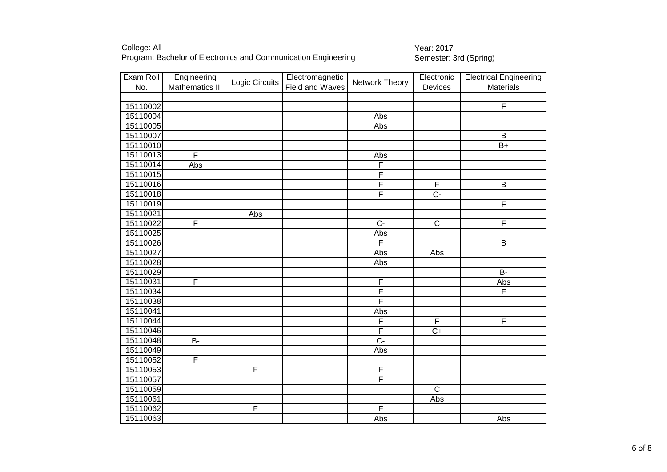| Exam Roll |                         | Engineering             |                 | Electromagnetic         |                | Electronic              | <b>Electrical Engineering</b> |
|-----------|-------------------------|-------------------------|-----------------|-------------------------|----------------|-------------------------|-------------------------------|
| No.       | Mathematics III         | Logic Circuits          | Field and Waves | Network Theory          | Devices        | Materials               |                               |
|           |                         |                         |                 |                         |                |                         |                               |
| 15110002  |                         |                         |                 |                         |                | F                       |                               |
| 15110004  |                         |                         |                 | Abs                     |                |                         |                               |
| 15110005  |                         |                         |                 | Abs                     |                |                         |                               |
| 15110007  |                         |                         |                 |                         |                | B                       |                               |
| 15110010  |                         |                         |                 |                         |                | $B+$                    |                               |
| 15110013  | $\overline{\mathsf{F}}$ |                         |                 | Abs                     |                |                         |                               |
| 15110014  | Abs                     |                         |                 | F                       |                |                         |                               |
| 15110015  |                         |                         |                 | F                       |                |                         |                               |
| 15110016  |                         |                         |                 | F                       | $\mathsf F$    | B                       |                               |
| 15110018  |                         |                         |                 | $\overline{\mathsf{F}}$ | $\overline{C}$ |                         |                               |
| 15110019  |                         |                         |                 |                         |                | F                       |                               |
| 15110021  |                         | Abs                     |                 |                         |                |                         |                               |
| 15110022  | F                       |                         |                 | $\overline{C}$          | $\overline{C}$ | F                       |                               |
| 15110025  |                         |                         |                 | Abs                     |                |                         |                               |
| 15110026  |                         |                         |                 | $\overline{\mathsf{F}}$ |                | B                       |                               |
| 15110027  |                         |                         |                 | Abs                     | Abs            |                         |                               |
| 15110028  |                         |                         |                 | Abs                     |                |                         |                               |
| 15110029  |                         |                         |                 |                         |                | $\overline{B}$          |                               |
| 15110031  | F                       |                         |                 | F                       |                | Abs                     |                               |
| 15110034  |                         |                         |                 | $\overline{\mathsf{F}}$ |                | $\overline{\mathsf{F}}$ |                               |
| 15110038  |                         |                         |                 | F                       |                |                         |                               |
| 15110041  |                         |                         |                 | Abs                     |                |                         |                               |
| 15110044  |                         |                         |                 | $\overline{\mathsf{F}}$ | F              | F                       |                               |
| 15110046  |                         |                         |                 | $\overline{\mathsf{F}}$ | $\overline{C}$ |                         |                               |
| 15110048  | $\overline{B}$          |                         |                 | $\overline{C}$          |                |                         |                               |
| 15110049  |                         |                         |                 | Abs                     |                |                         |                               |
| 15110052  | F                       |                         |                 |                         |                |                         |                               |
| 15110053  |                         | F                       |                 | $\overline{F}$          |                |                         |                               |
| 15110057  |                         |                         |                 | $\overline{\mathsf{F}}$ |                |                         |                               |
| 15110059  |                         |                         |                 |                         | $\overline{C}$ |                         |                               |
| 15110061  |                         |                         |                 |                         | Abs            |                         |                               |
| 15110062  |                         | $\overline{\mathsf{F}}$ |                 | $\overline{F}$          |                |                         |                               |
| 15110063  |                         |                         |                 | Abs                     |                | Abs                     |                               |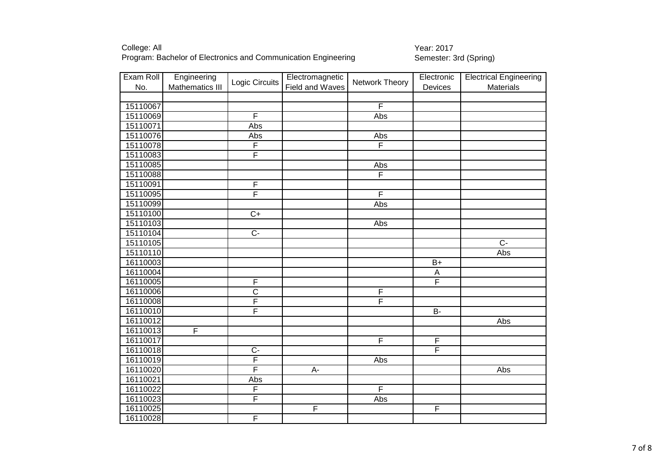| Exam Roll | Engineering     |                         | Electromagnetic |                         | Electronic                | <b>Electrical Engineering</b> |
|-----------|-----------------|-------------------------|-----------------|-------------------------|---------------------------|-------------------------------|
| No.       | Mathematics III | Logic Circuits          | Field and Waves | Network Theory          | Devices                   | Materials                     |
|           |                 |                         |                 |                         |                           |                               |
| 15110067  |                 |                         |                 | $\overline{\mathsf{F}}$ |                           |                               |
| 15110069  |                 | F                       |                 | Abs                     |                           |                               |
| 15110071  |                 | Abs                     |                 |                         |                           |                               |
| 15110076  |                 | Abs                     |                 | Abs                     |                           |                               |
| 15110078  |                 | F                       |                 | $\overline{\mathsf{F}}$ |                           |                               |
| 15110083  |                 | $\overline{\mathsf{F}}$ |                 |                         |                           |                               |
| 15110085  |                 |                         |                 | Abs                     |                           |                               |
| 15110088  |                 |                         |                 | F                       |                           |                               |
| 15110091  |                 | $\overline{F}$          |                 |                         |                           |                               |
| 15110095  |                 | $\overline{\mathsf{F}}$ |                 | F                       |                           |                               |
| 15110099  |                 |                         |                 | Abs                     |                           |                               |
| 15110100  |                 | $\overline{C+}$         |                 |                         |                           |                               |
| 15110103  |                 |                         |                 | Abs                     |                           |                               |
| 15110104  |                 | $\overline{C}$          |                 |                         |                           |                               |
| 15110105  |                 |                         |                 |                         |                           | $\overline{C}$                |
| 15110110  |                 |                         |                 |                         |                           | Abs                           |
| 16110003  |                 |                         |                 |                         | $B+$                      |                               |
| 16110004  |                 |                         |                 |                         | $\boldsymbol{\mathsf{A}}$ |                               |
| 16110005  |                 | $\overline{F}$          |                 |                         | $\overline{\mathsf{F}}$   |                               |
| 16110006  |                 | $\overline{\text{c}}$   |                 | $\overline{F}$          |                           |                               |
| 16110008  |                 | $\overline{\mathsf{F}}$ |                 | F                       |                           |                               |
| 16110010  |                 | F                       |                 |                         | $B -$                     |                               |
| 16110012  |                 |                         |                 |                         |                           | Abs                           |
| 16110013  | F               |                         |                 |                         |                           |                               |
| 16110017  |                 |                         |                 | $\overline{\mathsf{F}}$ | $\overline{F}$            |                               |
| 16110018  |                 | $C -$                   |                 |                         | $\overline{\mathsf{F}}$   |                               |
| 16110019  |                 | F                       |                 | Abs                     |                           |                               |
| 16110020  |                 | F                       | $A-$            |                         |                           | Abs                           |
| 16110021  |                 | Abs                     |                 |                         |                           |                               |
| 16110022  |                 | F                       |                 | F                       |                           |                               |
| 16110023  |                 | $\overline{F}$          |                 | <b>Abs</b>              |                           |                               |
| 16110025  |                 |                         | F               |                         | $\overline{F}$            |                               |
| 16110028  |                 | $\overline{F}$          |                 |                         |                           |                               |